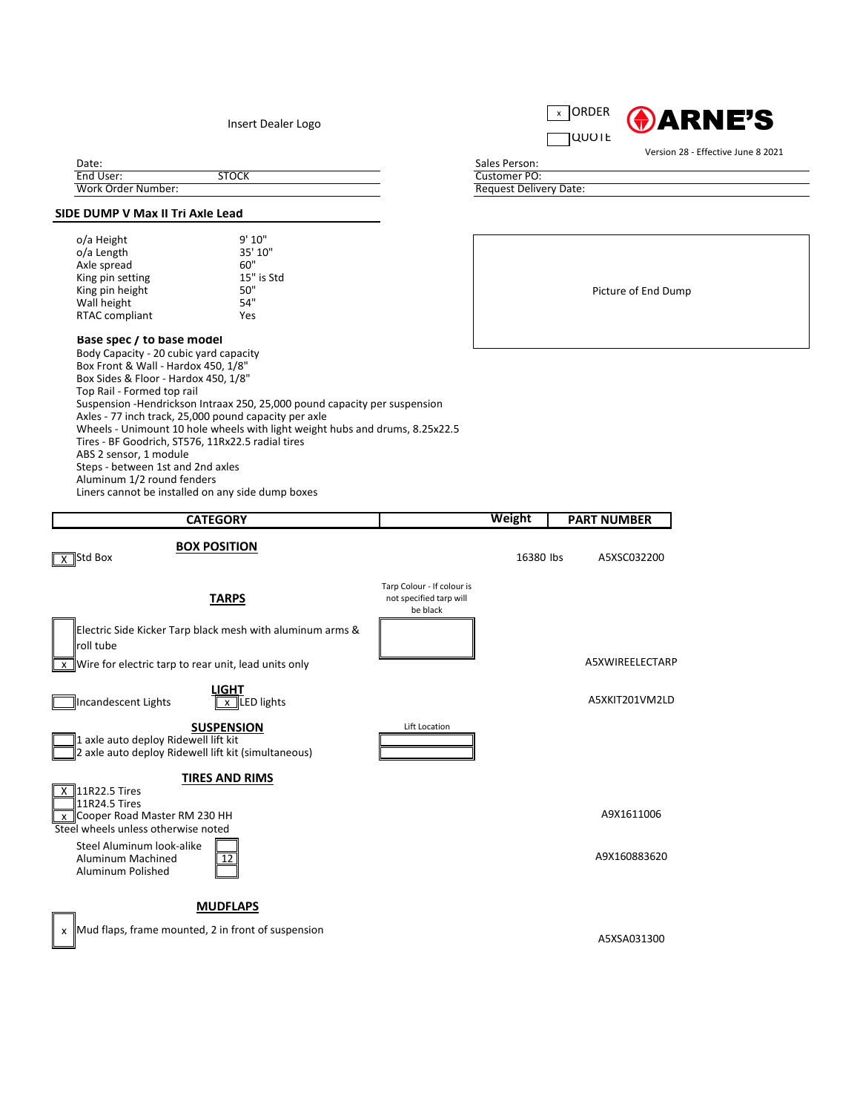



Date:

## **SIDE DUMP V Max II Tri Axle Lead**

| o/a Height            | 9'10''     |
|-----------------------|------------|
| o/a Length            | 35' 10"    |
| Axle spread           | 60"        |
| King pin setting      | 15" is Std |
| King pin height       | 50"        |
| Wall height           | 54"        |
| <b>RTAC compliant</b> | Yes        |
|                       |            |

## **Base spec / to base model**

Body Capacity - 20 cubic yard capacity Box Front & Wall - Hardox 450, 1/8" Box Sides & Floor - Hardox 450, 1/8" Top Rail - Formed top rail Suspension -Hendrickson Intraax 250, 25,000 pound capacity per suspension Axles - 77 inch track, 25,000 pound capacity per axle Wheels - Unimount 10 hole wheels with light weight hubs and drums, 8.25x22.5 Tires - BF Goodrich, ST576, 11Rx22.5 radial tires ABS 2 sensor, 1 module Steps - between 1st and 2nd axles Aluminum 1/2 round fenders Liners cannot be installed on any side dump boxes

 $\overline{X}$  11R22.5 Tires 11R24.5 Tires  $\overline{\text{X}}$  Cooper Road Master RM 230 HH  $\overline{\text{X}}$  A9X1611006 Steel wheels unless otherwise noted

| Dacc.              |              |
|--------------------|--------------|
| End User:          | <b>STOCK</b> |
| Work Order Number: |              |

Steel Aluminum look-alike Aluminum Machined  $\sqrt{12}$   $\sqrt{12}$ Aluminum Polished



A5XSA031300

Picture of End Dump

| <b>CATEGORY</b>                                                                                                                               |                                                                   | <b>Weight</b> | <b>PART NUMBER</b>     |
|-----------------------------------------------------------------------------------------------------------------------------------------------|-------------------------------------------------------------------|---------------|------------------------|
| <b>BOX POSITION</b><br>Std Box                                                                                                                |                                                                   | 16380 lbs     | A5XSC032200            |
| <b>TARPS</b>                                                                                                                                  | Tarp Colour - If colour is<br>not specified tarp will<br>be black |               |                        |
| Electric Side Kicker Tarp black mesh with aluminum arms &<br>roll tube<br>$\overline{x}$ Wire for electric tarp to rear unit, lead units only |                                                                   |               | <b>A5XWIREELECTARP</b> |
| <b>LIGHT</b><br>Incandescent Lights<br>$x$ LED lights                                                                                         |                                                                   |               | A5XKIT201VM2LD         |
| <b>SUSPENSION</b><br>1 axle auto deploy Ridewell lift kit<br>2 axle auto deploy Ridewell lift kit (simultaneous)                              | Lift Location                                                     |               |                        |

Version 28 - Effective June 8 2021

x Mud flaps, frame mounted, 2 in front of suspension

## **MUDFLAPS**

## **TIRES AND RIMS**

Insert Dealer Logo

Sales Person: Request Delivery Date: Customer PO: